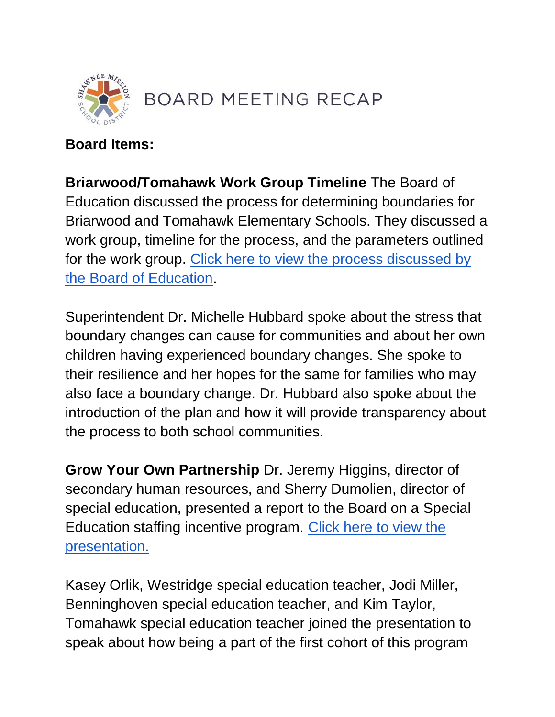

### **Board Items:**

**Briarwood/Tomahawk Work Group Timeline** The Board of Education discussed the process for determining boundaries for Briarwood and Tomahawk Elementary Schools. They discussed a work group, timeline for the process, and the parameters outlined for the work group. Click here to view the process discussed by [the Board of Education.](https://go.boarddocs.com/ks/smsd/Board.nsf/files/CDQNBS5DF5F3/$file/Briarwood_Tomahawk%20Work%20Group%20Timeline.pdf)

Superintendent Dr. Michelle Hubbard spoke about the stress that boundary changes can cause for communities and about her own children having experienced boundary changes. She spoke to their resilience and her hopes for the same for families who may also face a boundary change. Dr. Hubbard also spoke about the introduction of the plan and how it will provide transparency about the process to both school communities.

**Grow Your Own Partnership** Dr. Jeremy Higgins, director of secondary human resources, and Sherry Dumolien, director of special education, presented a report to the Board on a Special Education staffing incentive program. [Click here to view the](https://go.boarddocs.com/ks/smsd/Board.nsf/files/CDLM3P594DFE/$file/April%2025%2C%202022%20BOE%20Presentation%20(2).pdf)  [presentation.](https://go.boarddocs.com/ks/smsd/Board.nsf/files/CDLM3P594DFE/$file/April%2025%2C%202022%20BOE%20Presentation%20(2).pdf) 

Kasey Orlik, Westridge special education teacher, Jodi Miller, Benninghoven special education teacher, and Kim Taylor, Tomahawk special education teacher joined the presentation to speak about how being a part of the first cohort of this program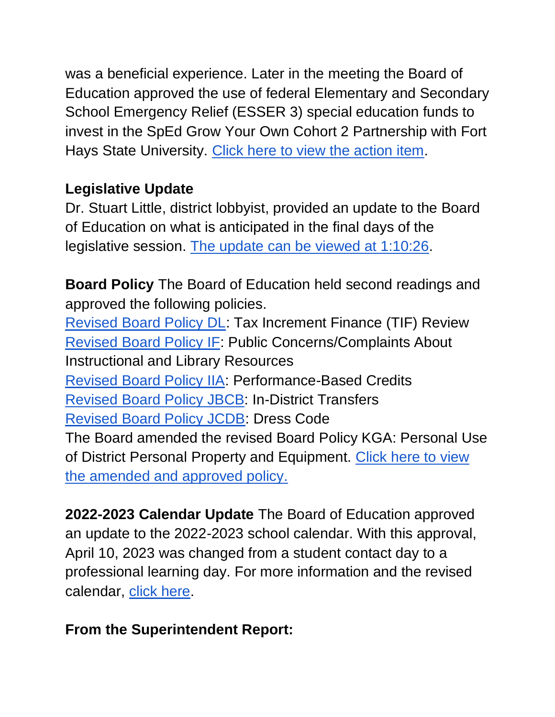was a beneficial experience. Later in the meeting the Board of Education approved the use of federal Elementary and Secondary School Emergency Relief (ESSER 3) special education funds to invest in the SpEd Grow Your Own Cohort 2 Partnership with Fort Hays State University. [Click here to view the action item.](http://go.boarddocs.com/ks/smsd/Board.nsf/goto?open&id=CDMQBM67B10F)

# **Legislative Update**

Dr. Stuart Little, district lobbyist, provided an update to the Board of Education on what is anticipated in the final days of the legislative session. [The update can be viewed at 1:10:26.](https://youtu.be/Ehtq40rDTRs)

**Board Policy** The Board of Education held second readings and approved the following policies.

[Revised Board Policy DL:](http://go.boarddocs.com/ks/smsd/Board.nsf/goto?open&id=CCSQV66B147A) Tax Increment Finance (TIF) Review [Revised Board Policy IF:](http://go.boarddocs.com/ks/smsd/Board.nsf/goto?open&id=CCSQVE6B2106) Public Concerns/Complaints About Instructional and Library Resources [Revised Board Policy IIA:](http://go.boarddocs.com/ks/smsd/Board.nsf/goto?open&id=CCSQVK6B27CA) Performance-Based Credits [Revised Board](http://go.boarddocs.com/ks/smsd/Board.nsf/goto?open&id=CCSQVW6B3603) Policy JBCB: In-District Transfers [Revised Board Policy JCDB:](http://go.boarddocs.com/ks/smsd/Board.nsf/goto?open&id=CCSQW66B3CFA) Dress Code The Board amended the revised Board Policy KGA: Personal Use of District Personal Property and Equipment. Click here to view [the amended and approved policy.](https://smsdorg.finalsite.com/fs/resource-manager/view/6313aafb-4281-4e64-a384-3dc007726316) 

**2022-2023 Calendar Update** The Board of Education approved an update to the 2022-2023 school calendar. With this approval, April 10, 2023 was changed from a student contact day to a professional learning day. For more information and the revised calendar, [click here.](http://go.boarddocs.com/ks/smsd/Board.nsf/goto?open&id=CDJK6Q50609E)

### **From the Superintendent Report:**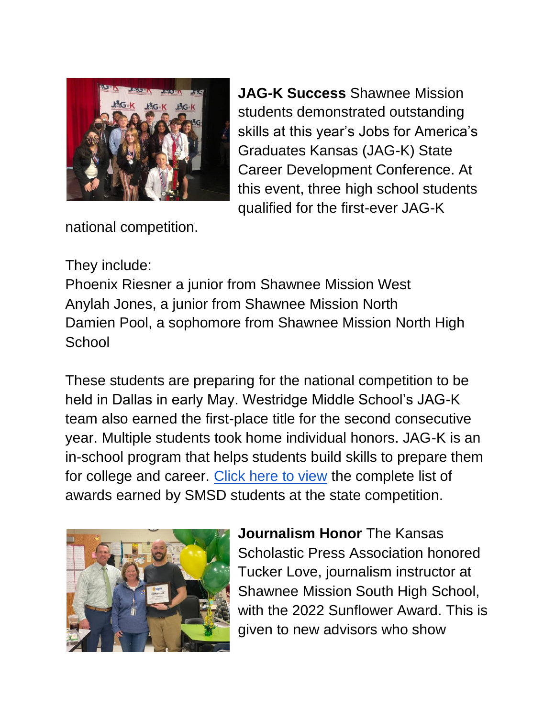

**JAG-K Success** Shawnee Mission students demonstrated outstanding skills at this year's Jobs for America's Graduates Kansas (JAG-K) State Career Development Conference. At this event, three high school students qualified for the first-ever JAG-K

national competition.

## They include:

Phoenix Riesner a junior from Shawnee Mission West Anylah Jones, a junior from Shawnee Mission North Damien Pool, a sophomore from Shawnee Mission North High **School** 

These students are preparing for the national competition to be held in Dallas in early May. Westridge Middle School's JAG-K team also earned the first-place title for the second consecutive year. Multiple students took home individual honors. JAG-K is an in-school program that helps students build skills to prepare them for college and career. [Click here to view](https://www.smsd.org/about/news-archives/news-archive-details/~board/2021-2022-district-news/post/smsd-students-shine-in-career-development-contest) the complete list of awards earned by SMSD students at the state competition.



**Journalism Honor** The Kansas Scholastic Press Association honored Tucker Love, journalism instructor at Shawnee Mission South High School, with the 2022 Sunflower Award. This is given to new advisors who show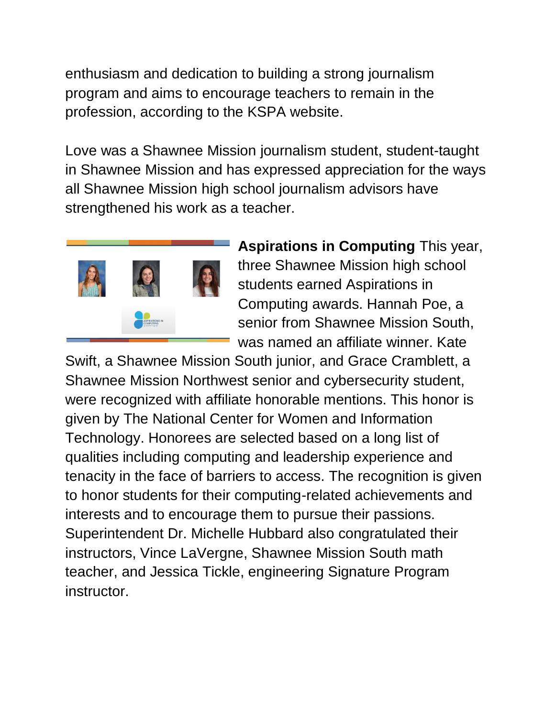enthusiasm and dedication to building a strong journalism program and aims to encourage teachers to remain in the profession, according to the KSPA website.

Love was a Shawnee Mission journalism student, student-taught in Shawnee Mission and has expressed appreciation for the ways all Shawnee Mission high school journalism advisors have strengthened his work as a teacher.



**Aspirations in Computing** This year, three Shawnee Mission high school students earned Aspirations in Computing awards. Hannah Poe, a senior from Shawnee Mission South, was named an affiliate winner. Kate

Swift, a Shawnee Mission South junior, and Grace Cramblett, a Shawnee Mission Northwest senior and cybersecurity student, were recognized with affiliate honorable mentions. This honor is given by The National Center for Women and Information Technology. Honorees are selected based on a long list of qualities including computing and leadership experience and tenacity in the face of barriers to access. The recognition is given to honor students for their computing-related achievements and interests and to encourage them to pursue their passions. Superintendent Dr. Michelle Hubbard also congratulated their instructors, Vince LaVergne, Shawnee Mission South math teacher, and Jessica Tickle, engineering Signature Program instructor.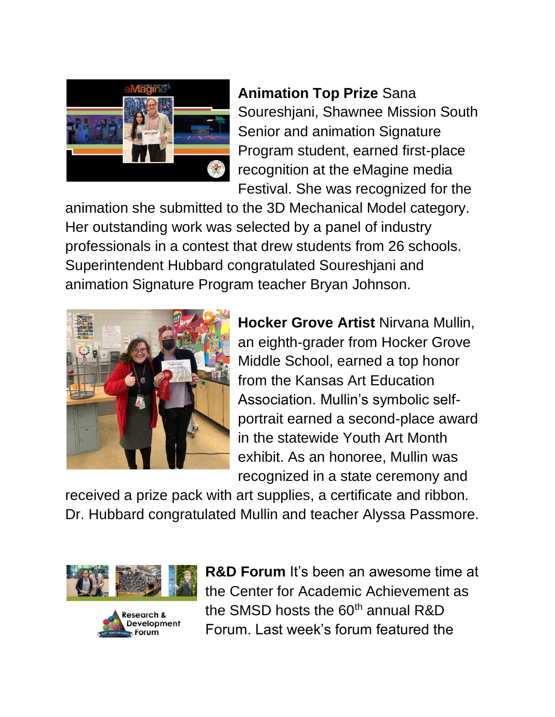

**Animation Top Prize** Sana Soureshjani, Shawnee Mission South Senior and animation Signature Program student, earned first-place recognition at the eMagine media Festival. She was recognized for the

animation she submitted to the 3D Mechanical Model category. Her outstanding work was selected by a panel of industry professionals in a contest that drew students from 26 schools. Superintendent Hubbard congratulated Soureshjani and animation Signature Program teacher Bryan Johnson.



**Hocker Grove Artist** Nirvana Mullin, an eighth-grader from Hocker Grove Middle School, earned a top honor from the Kansas Art Education Association. Mullin's symbolic selfportrait earned a second-place award in the statewide Youth Art Month exhibit. As an honoree, Mullin was recognized in a state ceremony and

received a prize pack with art supplies, a certificate and ribbon. Dr. Hubbard congratulated Mullin and teacher Alyssa Passmore.





**R&D Forum** It's been an awesome time at the Center for Academic Achievement as the SMSD hosts the  $60<sup>th</sup>$  annual R&D Forum. Last week's forum featured the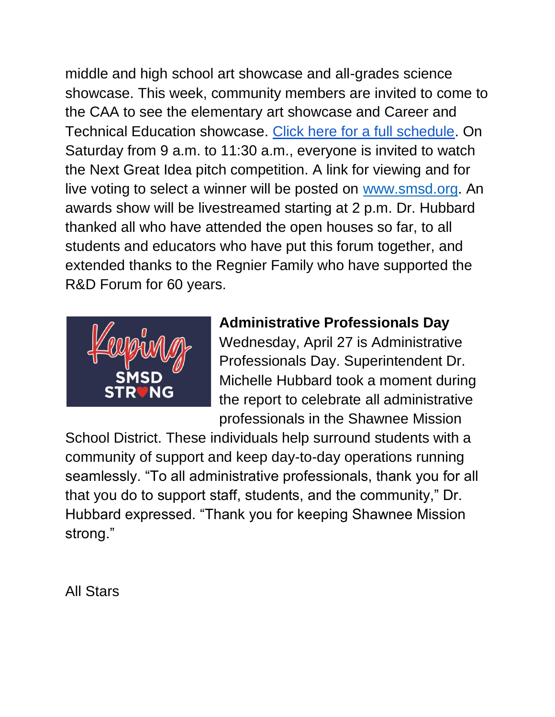middle and high school art showcase and all-grades science showcase. This week, community members are invited to come to the CAA to see the elementary art showcase and Career and Technical Education showcase. [Click here for a full schedule.](https://www.smsd.org/academics/rd-forum) On Saturday from 9 a.m. to 11:30 a.m., everyone is invited to watch the Next Great Idea pitch competition. A link for viewing and for live voting to select a winner will be posted o[n](http://www.smsd.org/) [www.smsd.org.](http://www.smsd.org/) An awards show will be livestreamed starting at 2 p.m. Dr. Hubbard thanked all who have attended the open houses so far, to all students and educators who have put this forum together, and extended thanks to the Regnier Family who have supported the R&D Forum for 60 years.



## **Administrative Professionals Day**

Wednesday, April 27 is Administrative Professionals Day. Superintendent Dr. Michelle Hubbard took a moment during the report to celebrate all administrative professionals in the Shawnee Mission

School District. These individuals help surround students with a community of support and keep day-to-day operations running seamlessly. "To all administrative professionals, thank you for all that you do to support staff, students, and the community," Dr. Hubbard expressed. "Thank you for keeping Shawnee Mission strong."

All Stars